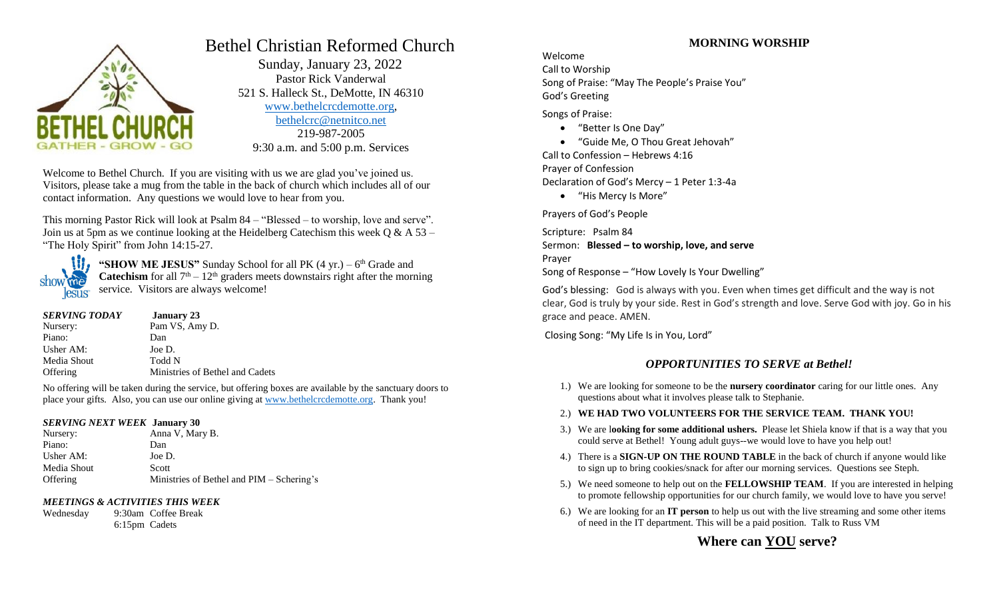

# Bethel Christian Reformed Church

 Sunday, January 23, 2022 Pastor Rick Vanderwal 521 S. Halleck St., DeMotte, IN 46310 [www.bethelcrcdemotte.org,](http://www.bethelcrcdemotte.org/) [bethelcrc@netnitco.net](mailto:bethelcrc@netnitco.net) 219-987-2005 9:30 a.m. and 5:00 p.m. Services

Welcome to Bethel Church. If you are visiting with us we are glad you've joined us. Visitors, please take a mug from the table in the back of church which includes all of our contact information. Any questions we would love to hear from you.

This morning Pastor Rick will look at Psalm 84 – "Blessed – to worship, love and serve". Join us at 5pm as we continue looking at the Heidelberg Catechism this week  $\overline{O} \& A 53$  – "The Holy Spirit" from John 14:15-27.



"**SHOW ME JESUS**" Sunday School for all PK (4 yr.) – 6<sup>th</sup> Grade and **Catechism** for all  $7<sup>th</sup> - 12<sup>th</sup>$  graders meets downstairs right after the morning service. Visitors are always welcome!

| <b>SERVING TODAY</b> | <b>January</b> 23               |
|----------------------|---------------------------------|
| Nursery:             | Pam VS, Amy D.                  |
| Piano:               | Dan                             |
| Usher AM:            | Joe D.                          |
| Media Shout          | Todd N                          |
| Offering             | Ministries of Bethel and Cadets |

No offering will be taken during the service, but offering boxes are available by the sanctuary doors to place your gifts. Also, you can use our online giving at [www.bethelcrcdemotte.org.](http://www.bethelcrcdemotte.org/) Thank you!

#### *SERVING NEXT WEEK* **January 30**

Nursery: Anna V, Mary B. Piano: Dan Usher AM: Joe D. Media Shout Scott Offering Ministries of Bethel and PIM – Schering's

### *MEETINGS & ACTIVITIES THIS WEEK*

Wednesday 9:30am Coffee Break 6:15pm Cadets

## **MORNING WORSHIP**

Welcome Call to Worship Song of Praise: "May The People's Praise You" God's Greeting

Songs of Praise:

- "Better Is One Day"
- "Guide Me, O Thou Great Jehovah"

Call to Confession – Hebrews 4:16 Prayer of Confession Declaration of God's Mercy – 1 Peter 1:3-4a

"His Mercy Is More"

Prayers of God's People

Scripture: Psalm 84 Sermon: **Blessed – to worship, love, and serve** Prayer Song of Response – "How Lovely Is Your Dwelling"

God's blessing: God is always with you. Even when times get difficult and the way is not clear, God is truly by your side. Rest in God's strength and love. Serve God with joy. Go in his grace and peace. AMEN.

Closing Song: "My Life Is in You, Lord"

## *OPPORTUNITIES TO SERVE at Bethel!*

- 1.) We are looking for someone to be the **nursery coordinator** caring for our little ones. Any questions about what it involves please talk to Stephanie.
- 2.) **WE HAD TWO VOLUNTEERS FOR THE SERVICE TEAM. THANK YOU!**
- 3.) We are l**ooking for some additional ushers.** Please let Shiela know if that is a way that you could serve at Bethel! Young adult guys--we would love to have you help out!
- 4.) There is a **SIGN-UP ON THE ROUND TABLE** in the back of church if anyone would like to sign up to bring cookies/snack for after our morning services. Questions see Steph.
- 5.) We need someone to help out on the **FELLOWSHIP TEAM**. If you are interested in helping to promote fellowship opportunities for our church family, we would love to have you serve!
- 6.) We are looking for an **IT person** to help us out with the live streaming and some other items of need in the IT department. This will be a paid position. Talk to Russ VM

# **Where can YOU serve?**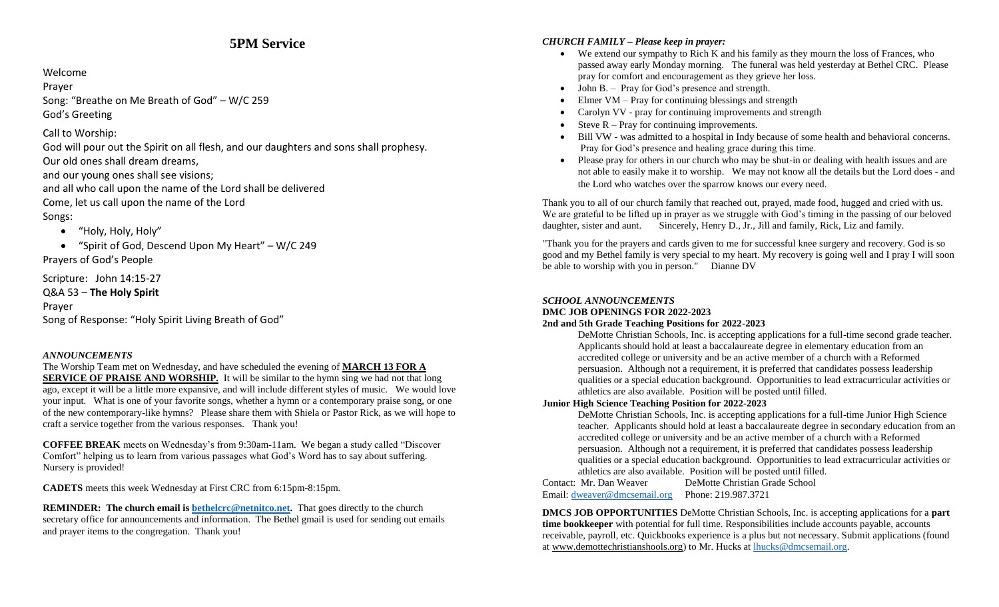# **5PM Service**

#### Welcome

Prayer

Song: "Breathe on Me Breath of God" – W/C 259 God's Greeting

## Call to Worship:

God will pour out the Spirit on all flesh, and our daughters and sons shall prophesy. Our old ones shall dream dreams,

and our young ones shall see visions;

and all who call upon the name of the Lord shall be delivered

Come, let us call upon the name of the Lord

## Songs:

"Holy, Holy, Holy"

 "Spirit of God, Descend Upon My Heart" – W/C 249 Prayers of God's People

Scripture: John 14:15-27

Q&A 53 – **The Holy Spirit**

Prayer

Song of Response: "Holy Spirit Living Breath of God"

## *ANNOUNCEMENTS*

The Worship Team met on Wednesday, and have scheduled the evening of **MARCH 13 FOR A SERVICE OF PRAISE AND WORSHIP.** It will be similar to the hymn sing we had not that long ago, except it will be a little more expansive, and will include different styles of music. We would love your input. What is one of your favorite songs, whether a hymn or a contemporary praise song, or one of the new contemporary-like hymns? Please share them with Shiela or Pastor Rick, as we will hope to craft a service together from the various responses. Thank you!

**COFFEE BREAK** meets on Wednesday's from 9:30am-11am. We began a study called "Discover Comfort" helping us to learn from various passages what God's Word has to say about suffering. Nursery is provided!

**CADETS** meets this week Wednesday at First CRC from 6:15pm-8:15pm.

**REMINDER:** The church email is **bethelcrc@netnitco.net.** That goes directly to the church secretary office for announcements and information. The Bethel gmail is used for sending out emails and prayer items to the congregation. Thank you!

## *CHURCH FAMILY – Please keep in prayer:*

- We extend our sympathy to Rich K and his family as they mourn the loss of Frances, who passed away early Monday morning. The funeral was held yesterday at Bethel CRC. Please pray for comfort and encouragement as they grieve her loss.
- John B. Pray for God's presence and strength.
- Elmer VM Pray for continuing blessings and strength
- Carolyn VV pray for continuing improvements and strength
- Steve  $R Pray$  for continuing improvements.
- Bill VW was admitted to a hospital in Indy because of some health and behavioral concerns. Pray for God's presence and healing grace during this time.
- Please pray for others in our church who may be shut-in or dealing with health issues and are not able to easily make it to worship. We may not know all the details but the Lord does - and the Lord who watches over the sparrow knows our every need.

Thank you to all of our church family that reached out, prayed, made food, hugged and cried with us. We are grateful to be lifted up in prayer as we struggle with God's timing in the passing of our beloved daughter, sister and aunt. Sincerely, Henry D., Jr., Jill and family, Rick, Liz and family.

"Thank you for the prayers and cards given to me for successful knee surgery and recovery. God is so good and my Bethel family is very special to my heart. My recovery is going well and I pray I will soon be able to worship with you in person." Dianne DV

### *SCHOOL ANNOUNCEMENTS*

#### **DMC JOB OPENINGS FOR 2022-2023**

### **2nd and 5th Grade Teaching Positions for 2022-2023**

DeMotte Christian Schools, Inc. is accepting applications for a full-time second grade teacher. Applicants should hold at least a baccalaureate degree in elementary education from an accredited college or university and be an active member of a church with a Reformed persuasion. Although not a requirement, it is preferred that candidates possess leadership qualities or a special education background. Opportunities to lead extracurricular activities or athletics are also available. Position will be posted until filled.

### **Junior High Science Teaching Position for 2022-2023**

DeMotte Christian Schools, Inc. is accepting applications for a full-time Junior High Science teacher. Applicants should hold at least a baccalaureate degree in secondary education from an accredited college or university and be an active member of a church with a Reformed persuasion. Although not a requirement, it is preferred that candidates possess leadership qualities or a special education background. Opportunities to lead extracurricular activities or athletics are also available. Position will be posted until filled.

Contact: Mr. Dan Weaver DeMotte Christian Grade School Email: [dweaver@dmcsemail.org](mailto:dweaver@dmcsemail.org) Phone: 219.987.3721

**DMCS JOB OPPORTUNITIES** DeMotte Christian Schools, Inc. is accepting applications for a **part time bookkeeper** with potential for full time. Responsibilities include accounts payable, accounts receivable, payroll, etc. Quickbooks experience is a plus but not necessary. Submit applications (found at [www.demottechristianshools.org\)](http://www.demottechristianshools.org/) to Mr. Hucks at [lhucks@dmcsemail.org.](mailto:lhucks@dmcsemail.org)